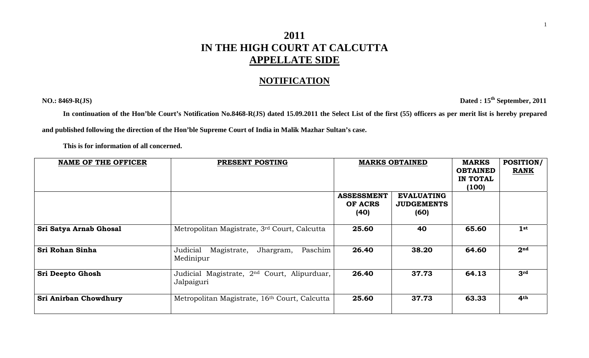## **2011 IN THE HIGH COURT AT CALCUTTA APPELLATE SIDE**

## **NOTIFICATION**

**NO.: 8469-R(JS) Dated : 15th September, 2011** 

**In continuation of the Hon'ble Court's Notification No.8468-R(JS) dated 15.09.2011 the Select List of the first (55) officers as per merit list is hereby prepared** 

**and published following the direction of the Hon'ble Supreme Court of India in Malik Mazhar Sultan's case.** 

 **This is for information of all concerned.** 

| <b>NAME OF THE OFFICER</b>   | PRESENT POSTING                                                       | <b>MARKS OBTAINED</b>                |                                                | <b>MARKS</b><br><b>OBTAINED</b><br>IN TOTAL<br>(100) | <b>POSITION/</b><br><b>RANK</b> |
|------------------------------|-----------------------------------------------------------------------|--------------------------------------|------------------------------------------------|------------------------------------------------------|---------------------------------|
|                              |                                                                       | <b>ASSESSMENT</b><br>OF ACRS<br>(40) | <b>EVALUATING</b><br><b>JUDGEMENTS</b><br>(60) |                                                      |                                 |
| Sri Satya Arnab Ghosal       | Metropolitan Magistrate, 3rd Court, Calcutta                          | 25.60                                | 40                                             | 65.60                                                | 1 <sup>st</sup>                 |
| Sri Rohan Sinha              | Judicial<br>Jhargram,<br>Paschim<br>Magistrate,<br>Medinipur          | 26.40                                | 38.20                                          | 64.60                                                | 2 <sup>nd</sup>                 |
| <b>Sri Deepto Ghosh</b>      | Judicial Magistrate, 2 <sup>nd</sup> Court, Alipurduar,<br>Jalpaiguri | 26.40                                | 37.73                                          | 64.13                                                | 3rd                             |
| <b>Sri Anirban Chowdhury</b> | Metropolitan Magistrate, 16th Court, Calcutta                         | 25.60                                | 37.73                                          | 63.33                                                | 4 <sup>th</sup>                 |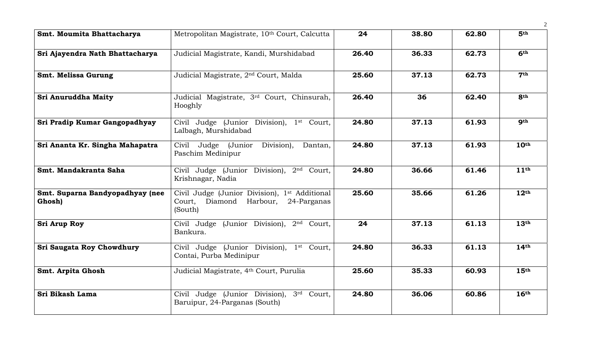| Smt. Moumita Bhattacharya                 | Metropolitan Magistrate, 10th Court, Calcutta                                                                  | 24    | 38.80 | 62.80 | 5 <sup>th</sup>  |
|-------------------------------------------|----------------------------------------------------------------------------------------------------------------|-------|-------|-------|------------------|
| Sri Ajayendra Nath Bhattacharya           | Judicial Magistrate, Kandi, Murshidabad                                                                        | 26.40 | 36.33 | 62.73 | 6 <sup>th</sup>  |
| Smt. Melissa Gurung                       | Judicial Magistrate, 2 <sup>nd</sup> Court, Malda                                                              | 25.60 | 37.13 | 62.73 | 7 <sup>th</sup>  |
| Sri Anuruddha Maity                       | Judicial Magistrate, 3rd Court, Chinsurah,<br>Hooghly                                                          | 26.40 | 36    | 62.40 | <b>8th</b>       |
| Sri Pradip Kumar Gangopadhyay             | Civil Judge (Junior Division), 1 <sup>st</sup> Court,<br>Lalbagh, Murshidabad                                  | 24.80 | 37.13 | 61.93 | <b>9th</b>       |
| Sri Ananta Kr. Singha Mahapatra           | Civil Judge (Junior<br>Division),<br>Dantan,<br>Paschim Medinipur                                              | 24.80 | 37.13 | 61.93 | 10 <sup>th</sup> |
| Smt. Mandakranta Saha                     | Civil Judge (Junior Division), 2 <sup>nd</sup> Court,<br>Krishnagar, Nadia                                     | 24.80 | 36.66 | 61.46 | 11 <sup>th</sup> |
| Smt. Suparna Bandyopadhyay (nee<br>Ghosh) | Civil Judge (Junior Division), 1 <sup>st</sup> Additional<br>Court,<br>Diamond Harbour, 24-Parganas<br>(South) | 25.60 | 35.66 | 61.26 | 12 <sup>th</sup> |
| <b>Sri Arup Roy</b>                       | Civil Judge (Junior Division), 2nd Court,<br>Bankura.                                                          | 24    | 37.13 | 61.13 | 13 <sup>th</sup> |
| Sri Saugata Roy Chowdhury                 | Civil Judge (Junior Division), 1 <sup>st</sup> Court,<br>Contai, Purba Medinipur                               | 24.80 | 36.33 | 61.13 | 14 <sup>th</sup> |
| <b>Smt. Arpita Ghosh</b>                  | Judicial Magistrate, 4th Court, Purulia                                                                        | 25.60 | 35.33 | 60.93 | 15 <sup>th</sup> |
| Sri Bikash Lama                           | Civil Judge (Junior Division), 3rd Court,<br>Baruipur, 24-Parganas (South)                                     | 24.80 | 36.06 | 60.86 | 16 <sup>th</sup> |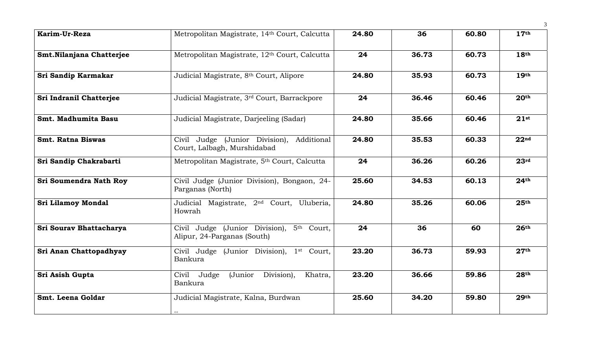| Karim-Ur-Reza             | Metropolitan Magistrate, 14th Court, Calcutta                                           | 24.80 | 36    | 60.80 | 17 <sup>th</sup> |
|---------------------------|-----------------------------------------------------------------------------------------|-------|-------|-------|------------------|
| Smt.Nilanjana Chatterjee  | Metropolitan Magistrate, 12th Court, Calcutta                                           | 24    | 36.73 | 60.73 | 18 <sup>th</sup> |
| Sri Sandip Karmakar       | Judicial Magistrate, 8th Court, Alipore                                                 | 24.80 | 35.93 | 60.73 | 19 <sup>th</sup> |
| Sri Indranil Chatterjee   | Judicial Magistrate, 3rd Court, Barrackpore                                             | 24    | 36.46 | 60.46 | 20 <sup>th</sup> |
| Smt. Madhumita Basu       | Judicial Magistrate, Darjeeling (Sadar)                                                 | 24.80 | 35.66 | 60.46 | $21$ st          |
| <b>Smt. Ratna Biswas</b>  | Civil Judge (Junior Division), Additional<br>Court, Lalbagh, Murshidabad                | 24.80 | 35.53 | 60.33 | 22 <sup>nd</sup> |
| Sri Sandip Chakrabarti    | Metropolitan Magistrate, 5th Court, Calcutta                                            | 24    | 36.26 | 60.26 | 23 <sup>rd</sup> |
| Sri Soumendra Nath Roy    | Civil Judge (Junior Division), Bongaon, 24-<br>Parganas (North)                         | 25.60 | 34.53 | 60.13 | 24 <sup>th</sup> |
| <b>Sri Lilamoy Mondal</b> | Judicial Magistrate, 2 <sup>nd</sup> Court, Uluberia,<br>Howrah                         | 24.80 | 35.26 | 60.06 | 25 <sup>th</sup> |
| Sri Sourav Bhattacharya   | Civil Judge (Junior Division),<br>5 <sup>th</sup> Court,<br>Alipur, 24-Parganas (South) | 24    | 36    | 60    | 26 <sup>th</sup> |
| Sri Anan Chattopadhyay    | Civil Judge (Junior Division), 1st Court,<br>Bankura                                    | 23.20 | 36.73 | 59.93 | 27 <sup>th</sup> |
| Sri Asish Gupta           | Civil Judge<br>Division),<br>Khatra,<br>(Junior<br>Bankura                              | 23.20 | 36.66 | 59.86 | 28 <sup>th</sup> |
| Smt. Leena Goldar         | Judicial Magistrate, Kalna, Burdwan<br><<                                               | 25.60 | 34.20 | 59.80 | 29 <sup>th</sup> |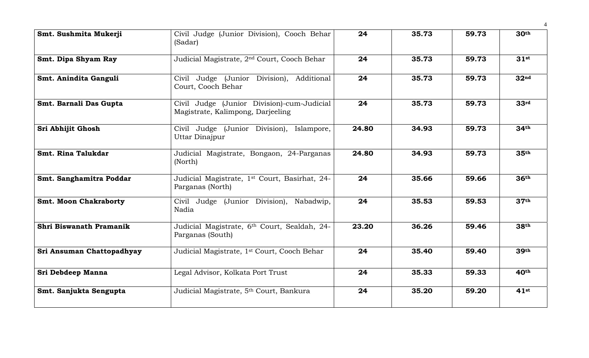| Smt. Sushmita Mukerji        | Civil Judge (Junior Division), Cooch Behar<br>(Sadar)                           | 24    | 35.73 | 59.73 | 30 <sup>th</sup> |
|------------------------------|---------------------------------------------------------------------------------|-------|-------|-------|------------------|
| Smt. Dipa Shyam Ray          | Judicial Magistrate, 2 <sup>nd</sup> Court, Cooch Behar                         | 24    | 35.73 | 59.73 | $31$ st          |
| Smt. Anindita Ganguli        | Civil Judge (Junior Division), Additional<br>Court, Cooch Behar                 | 24    | 35.73 | 59.73 | 32 <sup>nd</sup> |
| Smt. Barnali Das Gupta       | Civil Judge (Junior Division)-cum-Judicial<br>Magistrate, Kalimpong, Darjeeling | 24    | 35.73 | 59.73 | 33 <sup>rd</sup> |
| Sri Abhijit Ghosh            | Civil Judge (Junior Division), Islampore,<br>Uttar Dinajpur                     | 24.80 | 34.93 | 59.73 | 34 <sup>th</sup> |
| Smt. Rina Talukdar           | Judicial Magistrate, Bongaon, 24-Parganas<br>(North)                            | 24.80 | 34.93 | 59.73 | 35 <sup>th</sup> |
| Smt. Sanghamitra Poddar      | Judicial Magistrate, 1 <sup>st</sup> Court, Basirhat, 24-<br>Parganas (North)   | 24    | 35.66 | 59.66 | 36 <sup>th</sup> |
| <b>Smt. Moon Chakraborty</b> | Civil Judge (Junior Division), Nabadwip,<br>Nadia                               | 24    | 35.53 | 59.53 | 37 <sup>th</sup> |
| Shri Biswanath Pramanik      | Judicial Magistrate, 6th Court, Sealdah, 24-<br>Parganas (South)                | 23.20 | 36.26 | 59.46 | 38th             |
| Sri Ansuman Chattopadhyay    | Judicial Magistrate, 1st Court, Cooch Behar                                     | 24    | 35.40 | 59.40 | 39th             |
| Sri Debdeep Manna            | Legal Advisor, Kolkata Port Trust                                               | 24    | 35.33 | 59.33 | 40 <sup>th</sup> |
| Smt. Sanjukta Sengupta       | Judicial Magistrate, 5th Court, Bankura                                         | 24    | 35.20 | 59.20 | $41$ st          |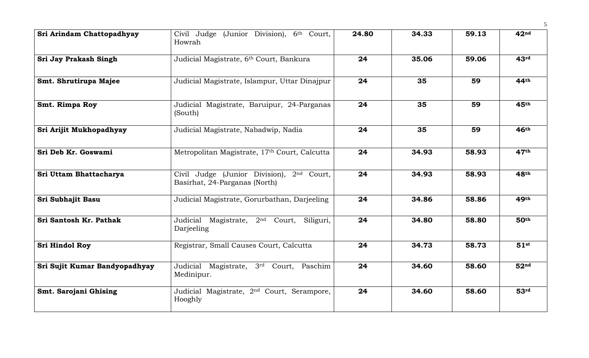| Sri Arindam Chattopadhyay     | Civil Judge (Junior Division), 6th Court,<br>Howrah                                    | 24.80 | 34.33 | 59.13 | 42 <sup>nd</sup> |
|-------------------------------|----------------------------------------------------------------------------------------|-------|-------|-------|------------------|
| Sri Jay Prakash Singh         | Judicial Magistrate, 6th Court, Bankura                                                | 24    | 35.06 | 59.06 | 43 <sup>rd</sup> |
| Smt. Shrutirupa Majee         | Judicial Magistrate, Islampur, Uttar Dinajpur                                          | 24    | 35    | 59    | 44th             |
| Smt. Rimpa Roy                | Judicial Magistrate, Baruipur, 24-Parganas<br>(South)                                  | 24    | 35    | 59    | 45 <sup>th</sup> |
| Sri Arijit Mukhopadhyay       | Judicial Magistrate, Nabadwip, Nadia                                                   | 24    | 35    | 59    | 46 <sup>th</sup> |
| Sri Deb Kr. Goswami           | Metropolitan Magistrate, 17th Court, Calcutta                                          | 24    | 34.93 | 58.93 | 47 <sup>th</sup> |
| Sri Uttam Bhattacharya        | Civil Judge (Junior Division), 2 <sup>nd</sup> Court,<br>Basirhat, 24-Parganas (North) | 24    | 34.93 | 58.93 | 48th             |
| Sri Subhajit Basu             | Judicial Magistrate, Gorurbathan, Darjeeling                                           | 24    | 34.86 | 58.86 | 49th             |
| Sri Santosh Kr. Pathak        | Judicial Magistrate, 2 <sup>nd</sup> Court, Siliguri,<br>Darjeeling                    | 24    | 34.80 | 58.80 | 50 <sup>th</sup> |
| <b>Sri Hindol Roy</b>         | Registrar, Small Causes Court, Calcutta                                                | 24    | 34.73 | 58.73 | $51$ st          |
| Sri Sujit Kumar Bandyopadhyay | Judicial Magistrate, 3rd Court, Paschim<br>Medinipur.                                  | 24    | 34.60 | 58.60 | 52 <sup>nd</sup> |
| Smt. Sarojani Ghising         | Judicial Magistrate, 2 <sup>nd</sup> Court, Serampore,<br>Hooghly                      | 24    | 34.60 | 58.60 | 53 <sup>rd</sup> |

5